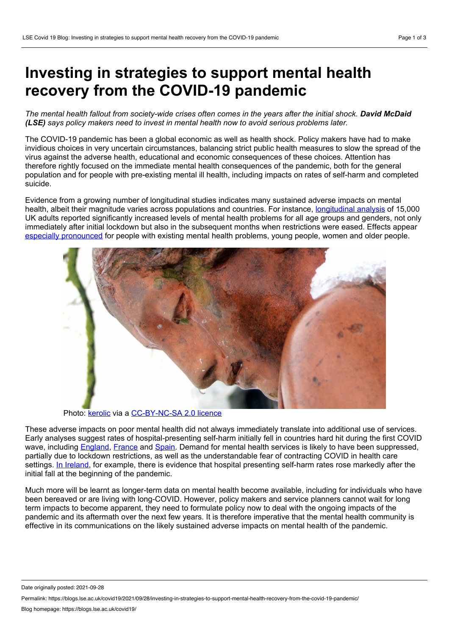## **Investing in strategies to support mental health recovery from the COVID-19 pandemic**

The mental health fallout from society-wide crises often comes in the vears after the initial shock. David McDaid *(LSE) says policy makers need to invest in mental health now to avoid serious problems later.*

The COVID-19 pandemic has been a global economic as well as health shock. Policy makers have had to make invidious choices in very uncertain circumstances, balancing strict public health measures to slow the spread of the virus against the adverse health, educational and economic consequences of these choices. Attention has therefore rightly focused on the immediate mental health consequences of the pandemic, both for the general population and for people with pre-existing mental ill health, including impacts on rates of self-harm and completed suicide.

Evidence from agrowing number of longitudinal studies indicates many sustained adverse impacts on mental health, albeit their magnitude varies across populations and countries. For instance, [longitudinal](http://d0i.org/10.1017/s0033291720004432) analysis of 15,000 UK adults reported significantly increased levels of mental health problems for all age groups and genders, not only immediately after initial lockdown but also in the subsequent months when restrictions were eased. Effects appear especially [pronounced](https://www.gov.uk/government/publications/covid-19-mental-health-and-wellbeing-recovery-action-plan) for people with existing mental health problems, young people, women and older people.



Photo: [kerolic](https://flickr.com/photos/kerolic/3297466615/in/photolist-62onWF-WNcBXo-62sHWU-aCneMg-9jcxkE-2Ev38Z-2j7wsUz-uDdgYS-7i1aMD-Mhjb9r-21ASprh-GiFywq-EWjCee-2kVMTgm-62sCgw-9XxR3w-62sBYf-GaDFA-gUdJ5-AtNAiP-85ncea-dwVDah-5Qy7zN-2APNK-6h5zTS-4u4tvv-6joWxx-6D5byD-Bn1afo-hy98BR-2jyi7ph-C8XJX4-86XjgR-6JWXuA-5XGVz-dh2Brb-dh2BuS-dh2BsN-dxQkiG-hsTkNM-rVqK3q-TE2T-ad9V4U-2iddaGw-q5cCvw-9B3pi7-gYf81-75jXoF-4nxr6-Qfhfz4) via a [CC-BY-NC-SA](https://creativecommons.org/licenses/by-nc-sa/2.0/) 2.0 licence

These adverse impacts on poor mental health did not always immediately translate into additional use of services. Early analyses suggest rates of hospital-presenting self-harm initially fell in countries hard hit during the first COVID wave, including [England,](http://doi.org/10.1016/j.jpsychires.2020.09.020) [France](https://onlinelibrary.wiley.com/doi/10.1111/pcn.13104) and [Spain](http://d0i.org/10.4088/JCP.20113419). Demand for mental health services is likely to have been suppressed, partially due to lockdown restrictions, as well as the understandable fear of contracting COVID in health care settings. In [Ireland,](http://doi.org/10.1017/ipm.2020.116) for example, there is evidence that hospital presenting self-harm rates rose markedly after the initial fall at the beginning of the pandemic.

Much more will be learnt as longer-term data on mental health become available, including for individuals who have been bereaved or are living with long-COVID. However, policy makers and service planners cannot wait for long term impacts to become apparent, they need to formulate policy now to deal with the ongoing impacts of the pandemic and its aftermath over the next few years. It is therefore imperative that the mental health community is effective in its communications on the likely sustained adverse impacts on mental health of the pandemic.

Date originally posted: 2021-09-28

Permalink: https://blogs.lse.ac.uk/covid19/2021/09/28/investing-in-strategies-to-support-mental-health-recovery-from-the-covid-19-pandemic/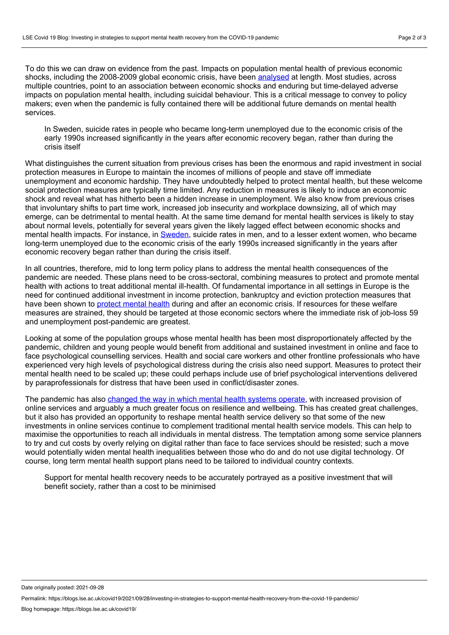To do this we can draw on evidence from the past. Impacts on population mental health of previous economic shocks, including the 2008-2009 global economic crisis, have been [analysed](http://eprints.lse.ac.uk/69795/1/McDaid_Socioeconomic%20disadvantage%20and%20suicidal%20behaviour_published_2017%20LSERO%20edit.pdf) at length. Most studies, across multiple countries, point to an association between economic shocks and enduring but time-delayed adverse impacts on population mental health, including suicidal behaviour. This is a critical message to convey to policy makers; even when the pandemic is fully contained there will be additional future demands on mental health services.

In Sweden, suicide rates in people who became long-term unemployed due to the economic crisis of the early 1990s increased significantly in the years after economic recovery began, rather than during the crisis itself

What distinguishes the current situation from previous crises has been the enormous and rapid investment in social protection measures in Europe to maintain the incomes of millions of people and stave off immediate unemployment and economic hardship. They have undoubtedly helped to protect mental health, but these welcome social protection measures are typically time limited. Any reduction in measures is likely to induce an economic shock and reveal what has hitherto been a hidden increase in unemployment. We also know from previous crises that involuntary shifts to part time work, increased job insecurity and workplace downsizing, all of which may emerge, can be detrimental to mental health. At the same time demand for mental health services is likely to stay about normal levels, potentially for several years given the likely lagged effect between economic shocks and mental health impacts. For instance, in [Sweden](https://pubmed.ncbi.nlm.nih.gov/23597379/), suicide rates in men, and to a lesser extent women, who became long-term unemployed due to the economic crisis of the early 1990s increased significantly in the years after economic recovery began rather than during the crisis itself.

In all countries, therefore, mid to long term policy plans to address the mental health consequences of the pandemic are needed. These plans need to be cross-sectoral, combining measures to protect and promote mental health with actions to treat additional mental ill-health. Of fundamental importance in all settings in Europe is the need for continued additional investment in income protection, bankruptcy and eviction protection measures that have been shown to [protect](https://onlinelibrary.wiley.com/doi/10.1002/j.2051-5545.2012.tb00114.x) mental health during and after an economic crisis. If resources for these welfare measures are strained, they should be targeted at those economic sectors where the immediate risk of job-loss 59 and unemployment post-pandemic are greatest.

Looking at some of the population groups whose mental health has been most disproportionately affected by the pandemic, children and young people would benefit from additional and sustained investment in online and face to face psychological counselling services. Health and social care workers and other frontline professionals who have experienced very high levels of psychological distress during the crisis also need support. Measures to protect their mental health need to be scaled up; these could perhaps include use of brief psychological interventions delivered by paraprofessionals for distress that have been used in conflict/disaster zones.

The pandemic has also [changed](https://pubmed.ncbi.nlm.nih.gov/32234102/) the way in which mental health systems operate, with increased provision of online services and arguably a much greater focus on resilience and wellbeing. This has created great challenges, but it also has provided an opportunity to reshape mental health service delivery so that some of the new investments in online services continue to complement traditional mental health service models. This can help to maximise the opportunities to reach all individuals in mental distress. The temptation among some service planners to try and cut costs by overly relying on digital rather than face to face services should be resisted; such a move would potentially widen mental health inequalities between those who do and do not use digital technology. Of course, long term mental health support plans need to be tailored to individual country contexts.

Support for mental health recovery needs to be accurately portrayed as a positive investment that will benefit society, rather than a cost to be minimised

Date originally posted: 2021-09-28

Permalink: https://blogs.lse.ac.uk/covid19/2021/09/28/investing-in-strategies-to-support-mental-health-recovery-from-the-covid-19-pandemic/